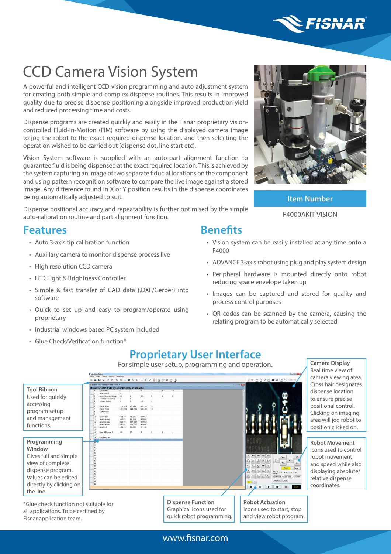

# CCD Camera Vision System

A powerful and intelligent CCD vision programming and auto adjustment system for creating both simple and complex dispense routines. This results in improved quality due to precise dispense positioning alongside improved production yield and reduced processing time and costs.

Dispense programs are created quickly and easily in the Fisnar proprietary visioncontrolled Fluid-In-Motion (FIM) software by using the displayed camera image to jog the robot to the exact required dispense location, and then selecting the operation wished to be carried out (dispense dot, line start etc).

Vision System software is supplied with an auto-part alignment function to guarantee fluid is being dispensed at the exact required location. This is achieved by the system capturing an image of two separate fiducial locations on the component and using pattern recognition software to compare the live image against a stored image. Any difference found in X or Y position results in the dispense coordinates being automatically adjusted to suit.

Dispense positional accuracy and repeatability is further optimised by the simple auto-calibration routine and part alignment function.

#### **Features**

- Auto 3-axis tip calibration function
- Auxillary camera to monitor dispense process live
- High resolution CCD camera
- LED Light & Brightness Controller
- Simple & fast transfer of CAD data (.DXF/Gerber) into software
- Quick to set up and easy to program/operate using proprietary
- Industrial windows based PC system included
- Glue Check/Verification function\*

**Item Number**

#### F4000AKIT-VISION

#### **Benefits**

- Vision system can be easily installed at any time onto a F4000
- ADVANCE 3-axis robot using plug and play system design
- Peripheral hardware is mounted directly onto robot reducing space envelope taken up
- Images can be captured and stored for quality and process control purposes
- QR codes can be scanned by the camera, causing the relating program to be automatically selected

#### **Proprietary User Interface**

For simple user setup, programming and operation.

**Tool Ribbon** Used for quickly  $\begin{array}{c} 0 \\ 1 \end{array}$  $0.5$ accessing  $\begin{array}{cccc} 119.263 & 92.656 & 65.138 & 13 \\ 137.006 & 110.451 & 65.138 & 14 \end{array}$ program setup 91.743<br>91.744<br>109.559<br>109.582<br>91.764 and management functions. -<br>Step & Reg  $\overline{25}$  $\overline{\phantom{a}}$ **Programming Robot Movement Window** 22<br>
23<br>
24<br>
25<br>
26<br>
27<br>
28<br>
30<br>
31<br>
32<br>
33<br>
34<br>
35<br>
36 Gives full and simple  $\begin{array}{|c|c|} \hline \begin{array}{|c|c|} \hline \begin{array}{|c|c|} \hline \begin{array}{|c|c|} \hline \begin{array}{|c|c|} \hline \begin{array}{|c|c|} \hline \begin{array}{|c|c|} \hline \begin{array}{|c|c|} \hline \begin{array}{|c|c|} \hline \begin{array}{|c|c|} \hline \begin{array}{|c|c|} \hline \begin{array}{|c|c|} \hline \begin{array}{|c|c|} \hline \begin{array}{|c|c|} \hline \begin{array}{|c|c|} \hline \begin{array}{|c|c|$  $z<sub>1</sub>$  $\overline{\bigoplus}$  $\alpha$   $\alpha$   $\beta$   $\beta$ view of complete  $\frac{\hbar\ddot{z}}{\hbar}\left|\frac{\hbar}{\hbar}\right|\frac{\hbar\dot{z}}{\hbar}\left|\frac{\hbar\dot{z}}{\hbar}\right|\left|\frac{\hbar\dot{z}}{\hbar}\right|$ dispense program.  $\begin{array}{|c|c|c|c|c|} \hline 1,0 & 0 & \frac{10}{10} & 0 \\ \hline 0 & 0 & 0 & 0 \\ \hline \end{array}$  $2.585$ Values can be edited  $[2414119] \begin{tabular}{|c|c|} \hline 2410 \\ \hline \end{tabular}$ 1 22 directly by clicking on coordinates.Ō. the line. **Dispense Function Robot Actuation** \*Glue check function not suitable for Graphical icons used for Icons used to start, stop all applications. To be certified by quick robot programming. and view robot program. Fisnar application team.

Real time view of camera viewing area. Cross hair designates dispense location to ensure precise positional control. Clicking on imaging area will jog robot to position clicked on.

**Camera Display**

Icons used to control robot movement and speed while also displaying absolute/ relative dispense

www.fisnar.com